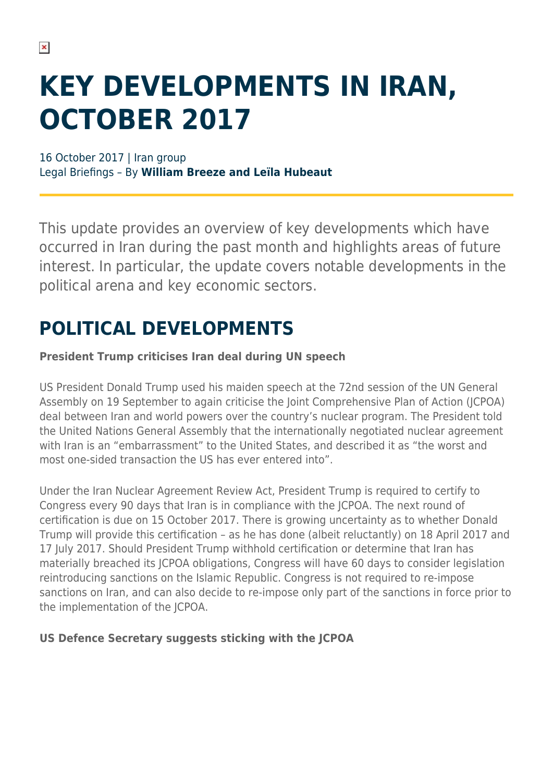# **KEY DEVELOPMENTS IN IRAN, OCTOBER 2017**

16 October 2017 | Iran group Legal Briefings – By **William Breeze and Leïla Hubeaut**

This update provides an overview of key developments which have occurred in Iran during the past month and highlights areas of future interest. In particular, the update covers notable developments in the political arena and key economic sectors.

### **POLITICAL DEVELOPMENTS**

#### **President Trump criticises Iran deal during UN speech**

US President Donald Trump used his maiden speech at the 72nd session of the UN General Assembly on 19 September to again criticise the Joint Comprehensive Plan of Action (JCPOA) deal between Iran and world powers over the country's nuclear program. The President told the United Nations General Assembly that the internationally negotiated nuclear agreement with Iran is an "embarrassment" to the United States, and described it as "the worst and most one-sided transaction the US has ever entered into".

Under the Iran Nuclear Agreement Review Act, President Trump is required to certify to Congress every 90 days that Iran is in compliance with the JCPOA. The next round of certification is due on 15 October 2017. There is growing uncertainty as to whether Donald Trump will provide this certification – as he has done (albeit reluctantly) on 18 April 2017 and 17 July 2017. Should President Trump withhold certification or determine that Iran has materially breached its JCPOA obligations, Congress will have 60 days to consider legislation reintroducing sanctions on the Islamic Republic. Congress is not required to re-impose sanctions on Iran, and can also decide to re-impose only part of the sanctions in force prior to the implementation of the JCPOA.

#### **US Defence Secretary suggests sticking with the JCPOA**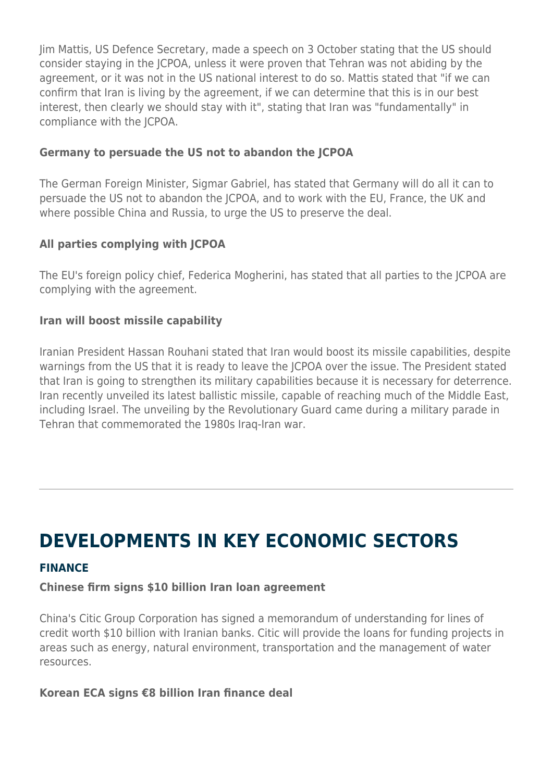Jim Mattis, US Defence Secretary, made a speech on 3 October stating that the US should consider staying in the JCPOA, unless it were proven that Tehran was not abiding by the agreement, or it was not in the US national interest to do so. Mattis stated that "if we can confirm that Iran is living by the agreement, if we can determine that this is in our best interest, then clearly we should stay with it", stating that Iran was "fundamentally" in compliance with the JCPOA.

#### **Germany to persuade the US not to abandon the JCPOA**

The German Foreign Minister, Sigmar Gabriel, has stated that Germany will do all it can to persuade the US not to abandon the JCPOA, and to work with the EU, France, the UK and where possible China and Russia, to urge the US to preserve the deal.

#### **All parties complying with JCPOA**

The EU's foreign policy chief, Federica Mogherini, has stated that all parties to the JCPOA are complying with the agreement.

#### **Iran will boost missile capability**

Iranian President Hassan Rouhani stated that Iran would boost its missile capabilities, despite warnings from the US that it is ready to leave the JCPOA over the issue. The President stated that Iran is going to strengthen its military capabilities because it is necessary for deterrence. Iran recently unveiled its latest ballistic missile, capable of reaching much of the Middle East, including Israel. The unveiling by the Revolutionary Guard came during a military parade in Tehran that commemorated the 1980s Iraq-Iran war.

### **DEVELOPMENTS IN KEY ECONOMIC SECTORS**

#### **FINANCE**

#### **Chinese firm signs \$10 billion Iran loan agreement**

China's Citic Group Corporation has signed a memorandum of understanding for lines of credit worth \$10 billion with Iranian banks. Citic will provide the loans for funding projects in areas such as energy, natural environment, transportation and the management of water resources.

#### **Korean ECA signs €8 billion Iran finance deal**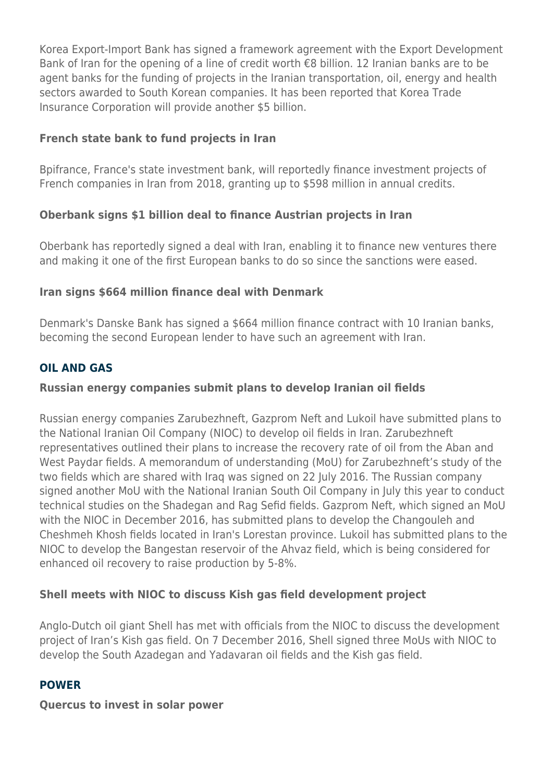Korea Export-Import Bank has signed a framework agreement with the Export Development Bank of Iran for the opening of a line of credit worth €8 billion. 12 Iranian banks are to be agent banks for the funding of projects in the Iranian transportation, oil, energy and health sectors awarded to South Korean companies. It has been reported that Korea Trade Insurance Corporation will provide another \$5 billion.

#### **French state bank to fund projects in Iran**

Bpifrance, France's state investment bank, will reportedly finance investment projects of French companies in Iran from 2018, granting up to \$598 million in annual credits.

#### **Oberbank signs \$1 billion deal to finance Austrian projects in Iran**

Oberbank has reportedly signed a deal with Iran, enabling it to finance new ventures there and making it one of the first European banks to do so since the sanctions were eased.

#### **Iran signs \$664 million finance deal with Denmark**

Denmark's Danske Bank has signed a \$664 million finance contract with 10 Iranian banks, becoming the second European lender to have such an agreement with Iran.

#### **OIL AND GAS**

#### **Russian energy companies submit plans to develop Iranian oil fields**

Russian energy companies Zarubezhneft, Gazprom Neft and Lukoil have submitted plans to the National Iranian Oil Company (NIOC) to develop oil fields in Iran. Zarubezhneft representatives outlined their plans to increase the recovery rate of oil from the Aban and West Paydar fields. A memorandum of understanding (MoU) for Zarubezhneft's study of the two fields which are shared with Iraq was signed on 22 July 2016. The Russian company signed another MoU with the National Iranian South Oil Company in July this year to conduct technical studies on the Shadegan and Rag Sefid fields. Gazprom Neft, which signed an MoU with the NIOC in December 2016, has submitted plans to develop the Changouleh and Cheshmeh Khosh fields located in Iran's Lorestan province. Lukoil has submitted plans to the NIOC to develop the Bangestan reservoir of the Ahvaz field, which is being considered for enhanced oil recovery to raise production by 5-8%.

#### **Shell meets with NIOC to discuss Kish gas field development project**

Anglo-Dutch oil giant Shell has met with officials from the NIOC to discuss the development project of Iran's Kish gas field. On 7 December 2016, Shell signed three MoUs with NIOC to develop the South Azadegan and Yadavaran oil fields and the Kish gas field.

#### **POWER**

#### **Quercus to invest in solar power**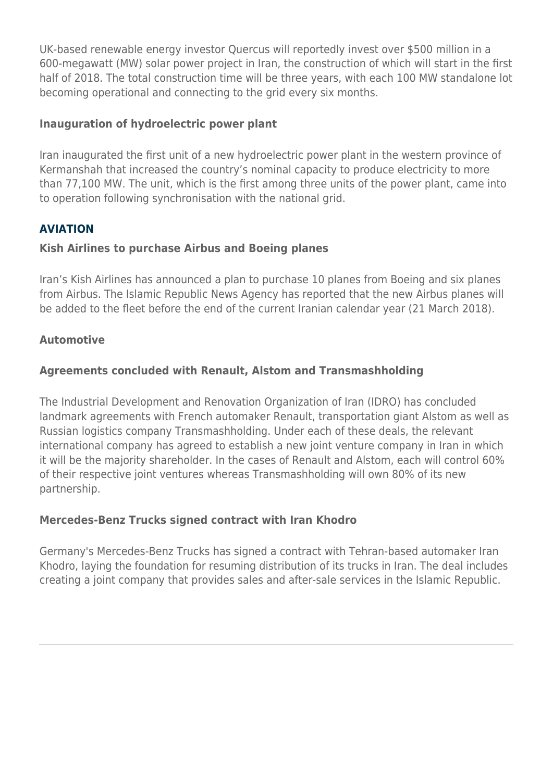UK-based renewable energy investor Quercus will reportedly invest over \$500 million in a 600-megawatt (MW) solar power project in Iran, the construction of which will start in the first half of 2018. The total construction time will be three years, with each 100 MW standalone lot becoming operational and connecting to the grid every six months.

#### **Inauguration of hydroelectric power plant**

Iran inaugurated the first unit of a new hydroelectric power plant in the western province of Kermanshah that increased the country's nominal capacity to produce electricity to more than 77,100 MW. The unit, which is the first among three units of the power plant, came into to operation following synchronisation with the national grid.

#### **AVIATION**

#### **Kish Airlines to purchase Airbus and Boeing planes**

Iran's Kish Airlines has announced a plan to purchase 10 planes from Boeing and six planes from Airbus. The Islamic Republic News Agency has reported that the new Airbus planes will be added to the fleet before the end of the current Iranian calendar year (21 March 2018).

#### **Automotive**

#### **Agreements concluded with Renault, Alstom and Transmashholding**

The Industrial Development and Renovation Organization of Iran (IDRO) has concluded landmark agreements with French automaker Renault, transportation giant Alstom as well as Russian logistics company Transmashholding. Under each of these deals, the relevant international company has agreed to establish a new joint venture company in Iran in which it will be the majority shareholder. In the cases of Renault and Alstom, each will control 60% of their respective joint ventures whereas Transmashholding will own 80% of its new partnership.

#### **Mercedes-Benz Trucks signed contract with Iran Khodro**

Germany's Mercedes-Benz Trucks has signed a contract with Tehran-based automaker Iran Khodro, laying the foundation for resuming distribution of its trucks in Iran. The deal includes creating a joint company that provides sales and after-sale services in the Islamic Republic.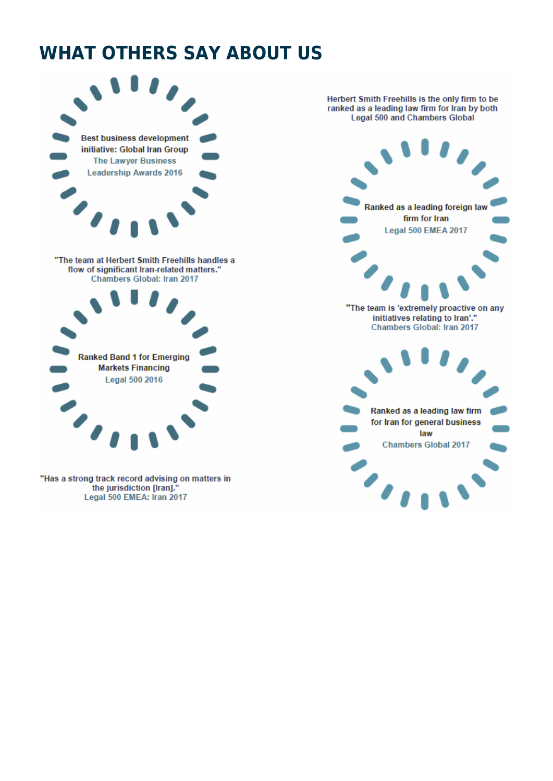### **WHAT OTHERS SAY ABOUT US**